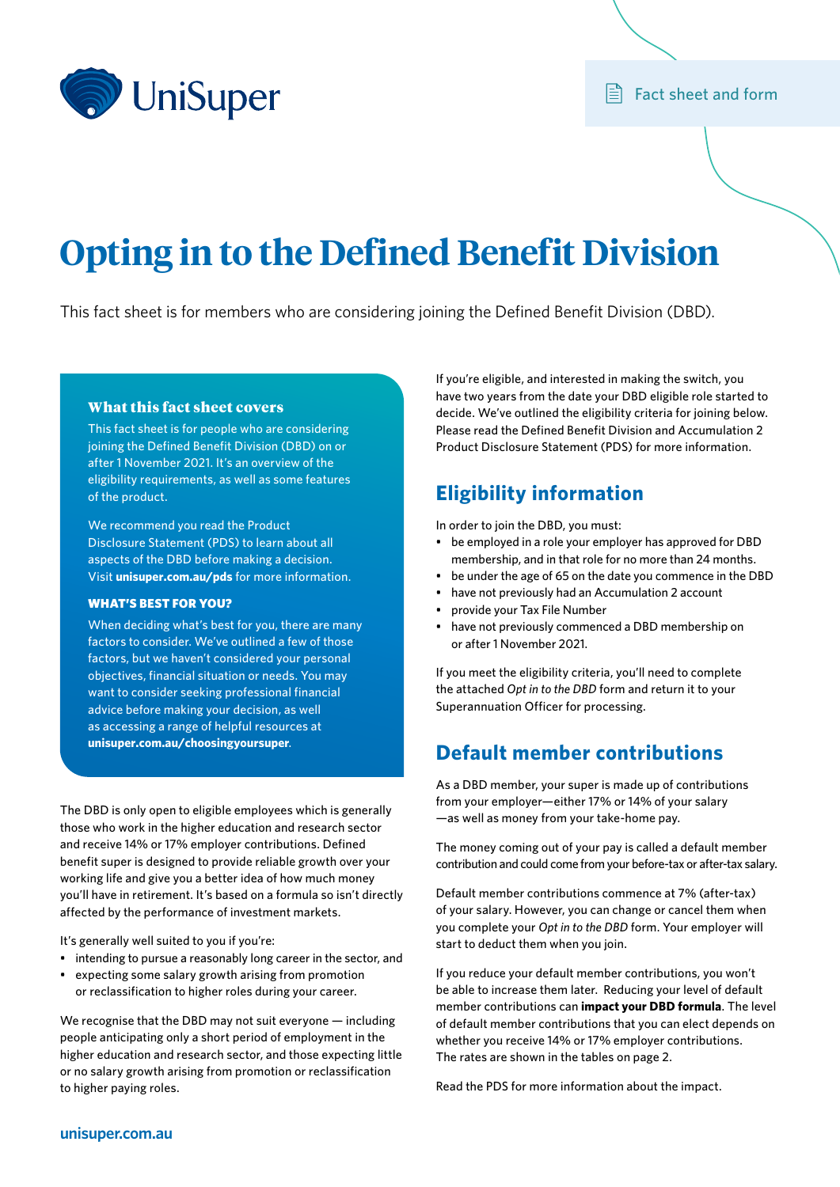

# **Opting in to the Defined Benefit Division**

This fact sheet is for members who are considering joining the Defined Benefit Division (DBD).

#### What this fact sheet covers

This fact sheet is for people who are considering joining the Defined Benefit Division (DBD) on or after 1 November 2021. It's an overview of the eligibility requirements, as well as some features of the product.

We recommend you read the Product Disclosure Statement (PDS) to learn about all aspects of the DBD before making a decision. Visit **[unisuper.com.au/pds](http://www.unisuper.com.au/pds)** for more information.

#### WHAT'S BEST FOR YOU?

When deciding what's best for you, there are many factors to consider. We've outlined a few of those factors, but we haven't considered your personal objectives, financial situation or needs. You may want to consider seeking professional financial advice before making your decision, as well as accessing a range of helpful resources at **[unisuper.com.au/choosingyoursuper](http://www.unisuper.com.au/choosingyoursuper/)** .

The DBD is only open to eligible employees which is generally those who work in the higher education and research sector and receive 14% or 17% employer contributions. Defined benefit super is designed to provide reliable growth over your working life and give you a better idea of how much money you'll have in retirement. It's based on a formula so isn't directly affected by the performance of investment markets.

It's generally well suited to you if you're:

- intending to pursue a reasonably long career in the sector, and
- expecting some salary growth arising from promotion or reclassification to higher roles during your career.

We recognise that the DBD may not suit everyone — including people anticipating only a short period of employment in the higher education and research sector, and those expecting little or no salary growth arising from promotion or reclassification to higher paying roles.

If you're eligible, and interested in making the switch, you have two years from the date your DBD eligible role started to decide. We've outlined the eligibility criteria for joining below. Please read the Defined Benefit Division and Accumulation 2 Product Disclosure Statement (PDS) for more information.

## **Eligibility information**

In order to join the DBD, you must:

- be employed in a role your employer has approved for DBD membership, and in that role for no more than 24 months.
- be under the age of 65 on the date you commence in the DBD
- have not previously had an Accumulation 2 account
- provide your Tax File Number
- have not previously commenced a DBD membership on or after 1 November 2021.

If you meet the eligibility criteria, you'll need to complete the attached *Opt in to the DBD* form and return it to your Superannuation Officer for processing.

## **Default member contributions**

As a DBD member, your super is made up of contributions from your employer—either 17% or 14% of your salary —as well as money from your take‑home pay.

The money coming out of your pay is called a default member contribution and could come from your before-tax or after-tax salary.

Default member contributions commence at 7% (after-tax) of your salary. However, you can change or cancel them when you complete your *Opt in to the DBD* form. Your employer will start to deduct them when you join.

If you reduce your default member contributions, you won't be able to increase them later. Reducing your level of default member contributions can **impact your DBD formula**. The level of default member contributions that you can elect depends on whether you receive 14% or 17% employer contributions. The rates are shown in the tables on page 2.

Read the PDS for more information about the impact.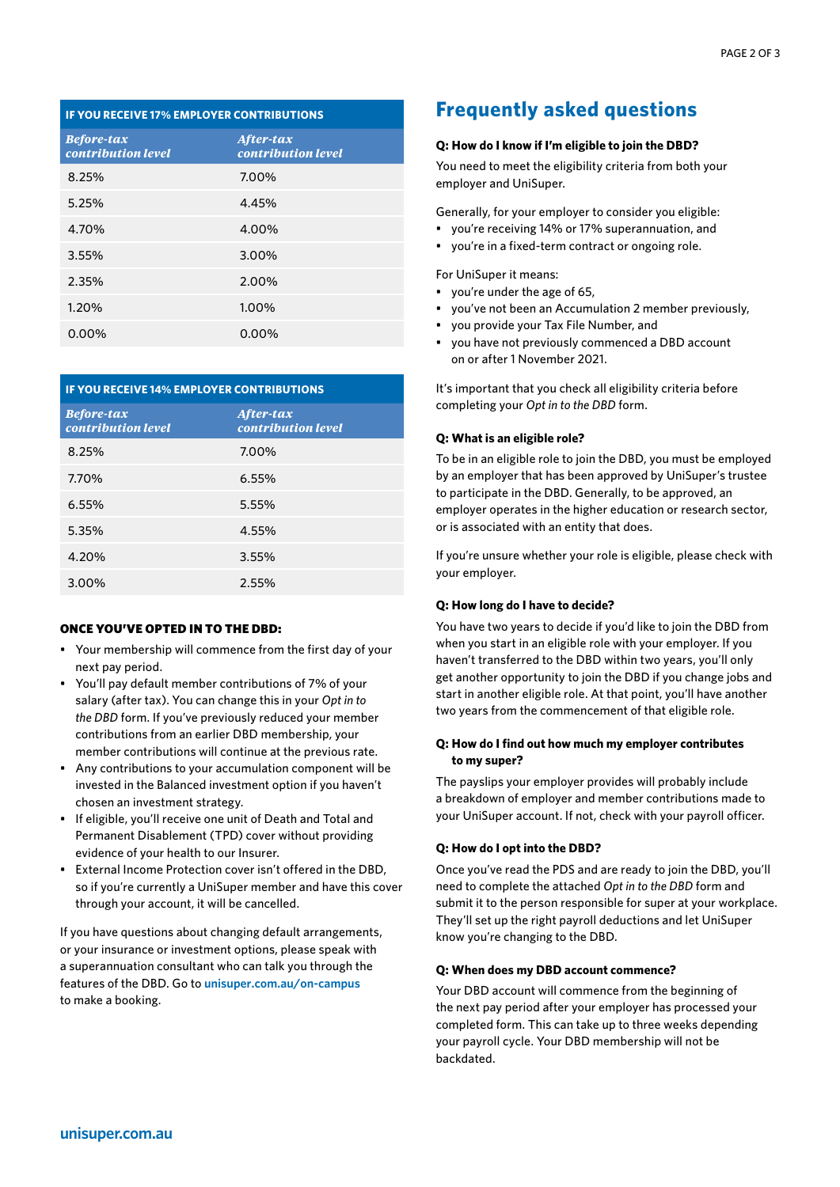| <b>IF YOU RECEIVE 17% EMPLOYER CONTRIBUTIONS</b> |                                 |  |  |  |  |  |
|--------------------------------------------------|---------------------------------|--|--|--|--|--|
| <b>Before-tax</b><br>contribution level          | After-tax<br>contribution level |  |  |  |  |  |
| 8.25%                                            | 7.00%                           |  |  |  |  |  |
| 5.25%                                            | 4.45%                           |  |  |  |  |  |
| 4.70%                                            | 4.00%                           |  |  |  |  |  |
| 3.55%                                            | 3.00%                           |  |  |  |  |  |
| 2.35%                                            | 2.00%                           |  |  |  |  |  |
| 1.20%                                            | 1.00%                           |  |  |  |  |  |
| 0.00%                                            | 0.00%                           |  |  |  |  |  |

| <b>IF YOU RECEIVE 14% EMPLOYER CONTRIBUTIONS</b> |                                 |  |  |  |  |  |
|--------------------------------------------------|---------------------------------|--|--|--|--|--|
| <b>Before-tax</b><br>contribution level          | After-tax<br>contribution level |  |  |  |  |  |
| 8.25%                                            | 7.00%                           |  |  |  |  |  |
| 7.70%                                            | 6.55%                           |  |  |  |  |  |
| 6.55%                                            | 5.55%                           |  |  |  |  |  |
| 5.35%                                            | 4.55%                           |  |  |  |  |  |
| 4.20%                                            | 3.55%                           |  |  |  |  |  |
| 3.00%                                            | 2.55%                           |  |  |  |  |  |

#### ONCE YOU'VE OPTED IN TO THE DBD:

- Your membership will commence from the first day of your next pay period.
- You'll pay default member contributions of 7% of your salary (after tax). You can change this in your *Opt in to the DBD* form. If you've previously reduced your member contributions from an earlier DBD membership, your member contributions will continue at the previous rate.
- Any contributions to your accumulation component will be invested in the Balanced investment option if you haven't chosen an investment strategy.
- If eligible, you'll receive one unit of Death and Total and Permanent Disablement (TPD) cover without providing evidence of your health to our Insurer.
- External Income Protection cover isn't offered in the DBD, so if you're currently a UniSuper member and have this cover through your account, it will be cancelled.

If you have questions about changing default arrangements, or your insurance or investment options, please speak with a superannuation consultant who can talk you through the features of the DBD. Go to **[unisuper.com.au/on-campus](http://www.unisuper.com.au/on-campus/)** to make a booking.

### **Frequently asked questions**

#### **Q: How do I know if I'm eligible to join the DBD?**

You need to meet the eligibility criteria from both your employer and UniSuper.

Generally, for your employer to consider you eligible:

- you're receiving 14% or 17% superannuation, and
- you're in a fixed-term contract or ongoing role.

For UniSuper it means:

- you're under the age of 65,
- you've not been an Accumulation 2 member previously,
- you provide your Tax File Number, and
- you have not previously commenced a DBD account on or after 1 November 2021.

It's important that you check all eligibility criteria before completing your *Opt in to the DBD* form.

#### **Q: What is an eligible role?**

To be in an eligible role to join the DBD, you must be employed by an employer that has been approved by UniSuper's trustee to participate in the DBD. Generally, to be approved, an employer operates in the higher education or research sector, or is associated with an entity that does.

If you're unsure whether your role is eligible, please check with your employer.

#### **Q: How long do I have to decide?**

You have two years to decide if you'd like to join the DBD from when you start in an eligible role with your employer. If you haven't transferred to the DBD within two years, you'll only get another opportunity to join the DBD if you change jobs and start in another eligible role. At that point, you'll have another two years from the commencement of that eligible role.

#### **Q: How do I find out how much my employer contributes to my super?**

The payslips your employer provides will probably include a breakdown of employer and member contributions made to your UniSuper account. If not, check with your payroll officer.

#### **Q: How do I opt into the DBD?**

Once you've read the PDS and are ready to join the DBD, you'll need to complete the attached *Opt in to the DBD* form and submit it to the person responsible for super at your workplace. They'll set up the right payroll deductions and let UniSuper know you're changing to the DBD.

#### **Q: When does my DBD account commence?**

Your DBD account will commence from the beginning of the next pay period after your employer has processed your completed form. This can take up to three weeks depending your payroll cycle. Your DBD membership will not be backdated.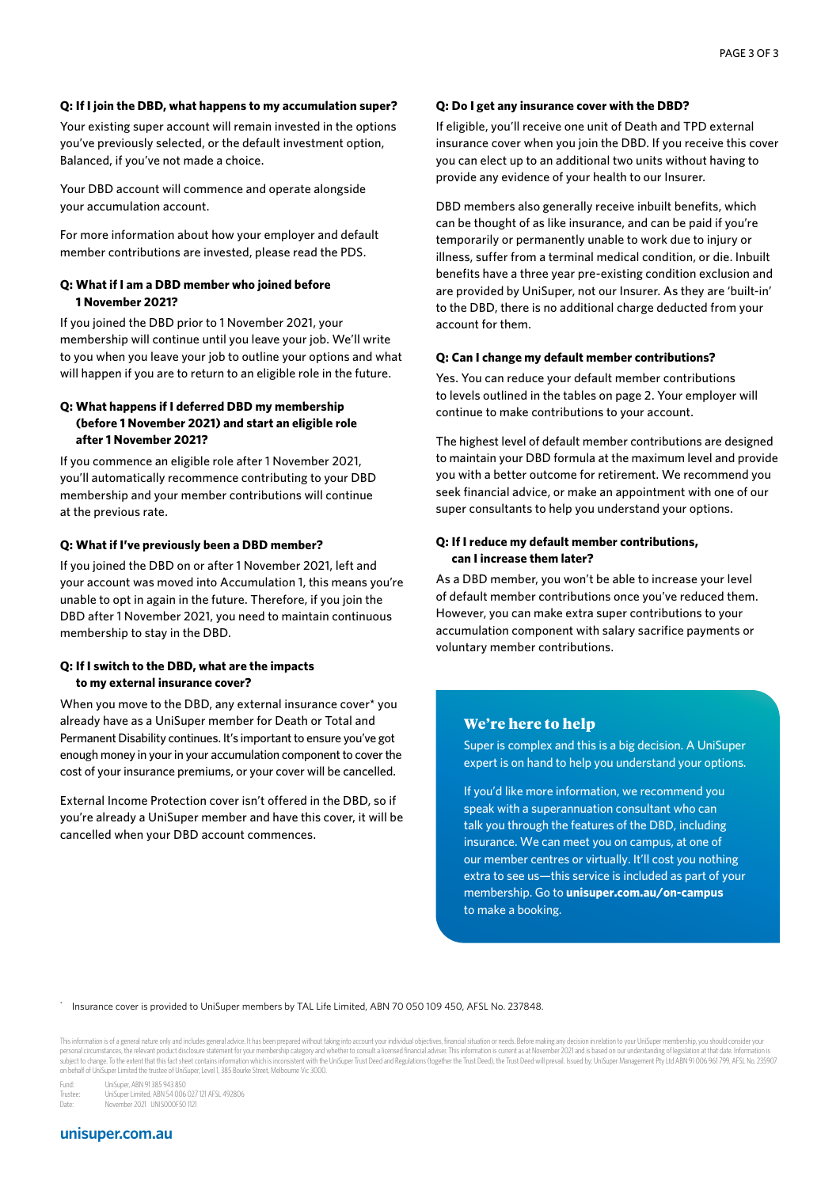#### **Q: If I join the DBD, what happens to my accumulation super?**

Your existing super account will remain invested in the options you've previously selected, or the default investment option, Balanced, if you've not made a choice.

Your DBD account will commence and operate alongside your accumulation account.

For more information about how your employer and default member contributions are invested, please read the PDS.

#### **Q: What if I am a DBD member who joined before 1 November 2021?**

If you joined the DBD prior to 1 November 2021, your membership will continue until you leave your job. We'll write to you when you leave your job to outline your options and what will happen if you are to return to an eligible role in the future.

#### **Q: What happens if I deferred DBD my membership (before 1 November 2021) and start an eligible role after 1 November 2021?**

If you commence an eligible role after 1 November 2021, you'll automatically recommence contributing to your DBD membership and your member contributions will continue at the previous rate.

#### **Q: What if I've previously been a DBD member?**

If you joined the DBD on or after 1 November 2021, left and your account was moved into Accumulation 1, this means you're unable to opt in again in the future. Therefore, if you join the DBD after 1 November 2021, you need to maintain continuous membership to stay in the DBD.

#### **Q: If I switch to the DBD, what are the impacts to my external insurance cover?**

When you move to the DBD, any external insurance cover\* you already have as a UniSuper member for Death or Total and Permanent Disability continues. It's important to ensure you've got enough money in your in your accumulation component to cover the cost of your insurance premiums, or your cover will be cancelled.

External Income Protection cover isn't offered in the DBD, so if you're already a UniSuper member and have this cover, it will be cancelled when your DBD account commences.

#### **Q: Do I get any insurance cover with the DBD?**

If eligible, you'll receive one unit of Death and TPD external insurance cover when you join the DBD. If you receive this cover you can elect up to an additional two units without having to provide any evidence of your health to our Insurer.

DBD members also generally receive inbuilt benefits, which can be thought of as like insurance, and can be paid if you're temporarily or permanently unable to work due to injury or illness, suffer from a terminal medical condition, or die. Inbuilt benefits have a three year pre-existing condition exclusion and are provided by UniSuper, not our Insurer. As they are 'built-in' to the DBD, there is no additional charge deducted from your account for them.

#### **Q: Can I change my default member contributions?**

Yes. You can reduce your default member contributions to levels outlined in the tables on page 2. Your employer will continue to make contributions to your account.

The highest level of default member contributions are designed to maintain your DBD formula at the maximum level and provide you with a better outcome for retirement. We recommend you seek financial advice, or make an appointment with one of our super consultants to help you understand your options.

#### **Q: If I reduce my default member contributions, can I increase them later?**

As a DBD member, you won't be able to increase your level of default member contributions once you've reduced them. However, you can make extra super contributions to your accumulation component with salary sacrifice payments or voluntary member contributions.

#### We're here to help

Super is complex and this is a big decision. A UniSuper expert is on hand to help you understand your options.

If you'd like more information, we recommend you speak with a superannuation consultant who can talk you through the features of the DBD, including insurance. We can meet you on campus, at one of our member centres or virtually. It'll cost you nothing extra to see us—this service is included as part of your membership. Go to **[unisuper.com.au/on-campus](http://www.unisuper.com.au/on-campus/)** to make a booking.

\* Insurance cover is provided to UniSuper members by TAL Life Limited, ABN 70 050 109 450, AFSL No. 237848.

This information is of a general nature only and includes general advice. It has been prepared without taking into account your individual objectives, financial situation or needs. Before making any decision in relation to personal circumstances, the relevant product disclosure statement for your membership category and whether to consult a licensed financial adviser. This information is current as at November 2021 and is based on our unders on behalf of UniSuper Limited the trustee of UniSuper, Level 1, 385 Bourke Street, Melbourne Vic 3000.

Fund: UniSuper, ABN 91 385 943 850

Trustee: UniSuper Limited, ABN 54 006 027 121 AFSL 492806 Date: November 2021 UNIS000F50 1121

#### **unisuper.com.au**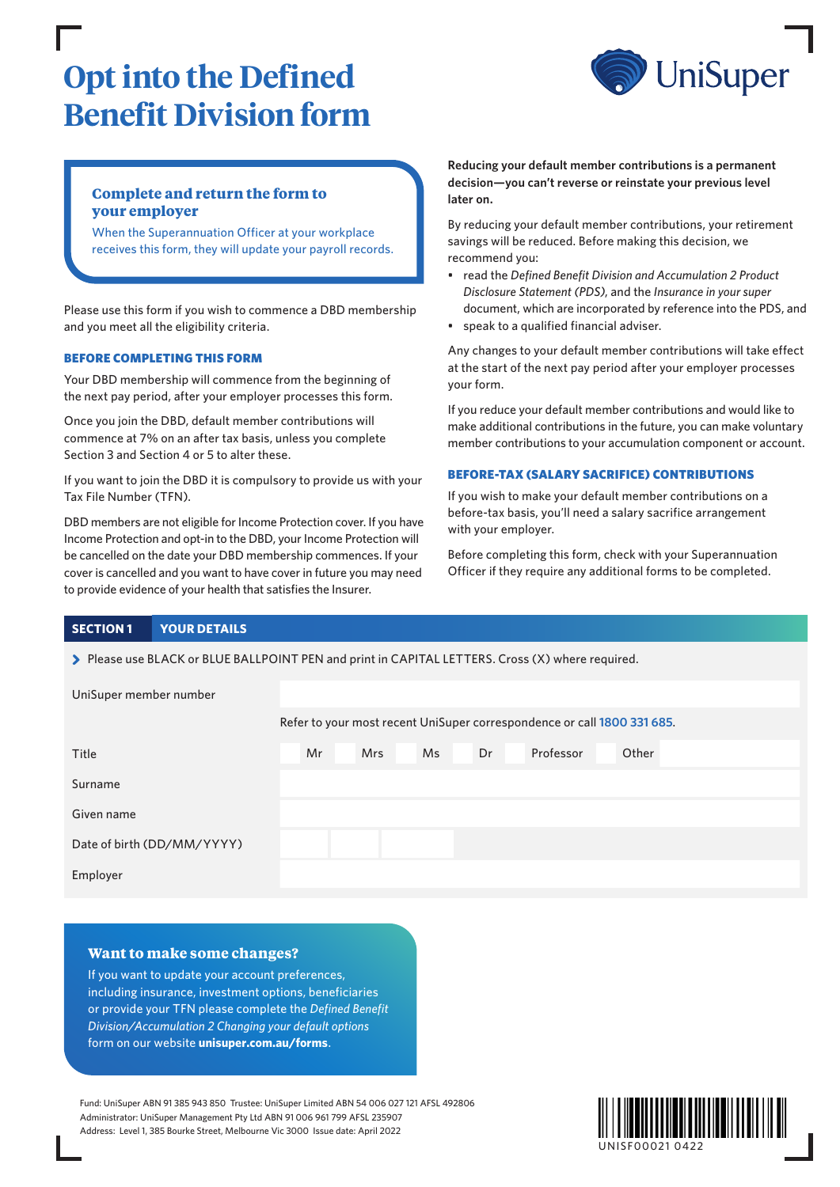## **Opt into the Defined Benefit Division form**



### **Complete and return the form to your employer**

When the Superannuation Officer at your workplace receives this form, they will update your payroll records.

Please use this form if you wish to commence a DBD membership and you meet all the eligibility criteria.

#### BEFORE COMPLETING THIS FORM

Your DBD membership will commence from the beginning of the next pay period, after your employer processes this form.

Once you join the DBD, default member contributions will commence at 7% on an after tax basis, unless you complete Section 3 and Section 4 or 5 to alter these.

If you want to join the DBD it is compulsory to provide us with your Tax File Number (TFN).

DBD members are not eligible for Income Protection cover. If you have Income Protection and opt-in to the DBD, your Income Protection will be cancelled on the date your DBD membership commences. If your cover is cancelled and you want to have cover in future you may need to provide evidence of your health that satisfies the Insurer.

**Reducing your default member contributions is a permanent decision—you can't reverse or reinstate your previous level later on.**

By reducing your default member contributions, your retirement savings will be reduced. Before making this decision, we recommend you:

- read the *Defined Benefit Division and Accumulation 2 Product Disclosure Statement (PDS)*, and the *Insurance in your super* document, which are incorporated by reference into the PDS, and
- speak to a qualified financial adviser.

Any changes to your default member contributions will take effect at the start of the next pay period after your employer processes your form.

If you reduce your default member contributions and would like to make additional contributions in the future, you can make voluntary member contributions to your accumulation component or account.

#### BEFORE-TAX (SALARY SACRIFICE) CONTRIBUTIONS

If you wish to make your default member contributions on a before-tax basis, you'll need a salary sacrifice arrangement with your employer.

Before completing this form, check with your Superannuation Officer if they require any additional forms to be completed.

#### **SECTION 1 YOUR DETAILS**

> Please use BLACK or BLUE BALLPOINT PEN and print in CAPITAL LETTERS. Cross (X) where required.

| UniSuper member number     |                                                                         |    |  |            |  |    |  |    |  |           |       |  |  |  |
|----------------------------|-------------------------------------------------------------------------|----|--|------------|--|----|--|----|--|-----------|-------|--|--|--|
|                            | Refer to your most recent UniSuper correspondence or call 1800 331 685. |    |  |            |  |    |  |    |  |           |       |  |  |  |
| Title                      |                                                                         | Mr |  | <b>Mrs</b> |  | Ms |  | Dr |  | Professor | Other |  |  |  |
| Surname                    |                                                                         |    |  |            |  |    |  |    |  |           |       |  |  |  |
| Given name                 |                                                                         |    |  |            |  |    |  |    |  |           |       |  |  |  |
| Date of birth (DD/MM/YYYY) |                                                                         |    |  |            |  |    |  |    |  |           |       |  |  |  |
| Employer                   |                                                                         |    |  |            |  |    |  |    |  |           |       |  |  |  |

#### **Want to make some changes?**

If you want to update your account preferences, including insurance, investment options, beneficiaries or provide your TFN please complete the *Defined Benefit Division/Accumulation 2 Changing your default options* form on our website **[unisuper.com.au/forms](http://unisuper.com.au/forms)** .

Fund: UniSuper ABN 91 385 943 850 Trustee: UniSuper Limited ABN 54 006 027 121 AFSL 492806 Administrator: UniSuper Management Pty Ltd ABN 91 006 961 799 AFSL 235907 Address: Level 1, 385 Bourke Street, Melbourne Vic 3000 Issue date: April 2022

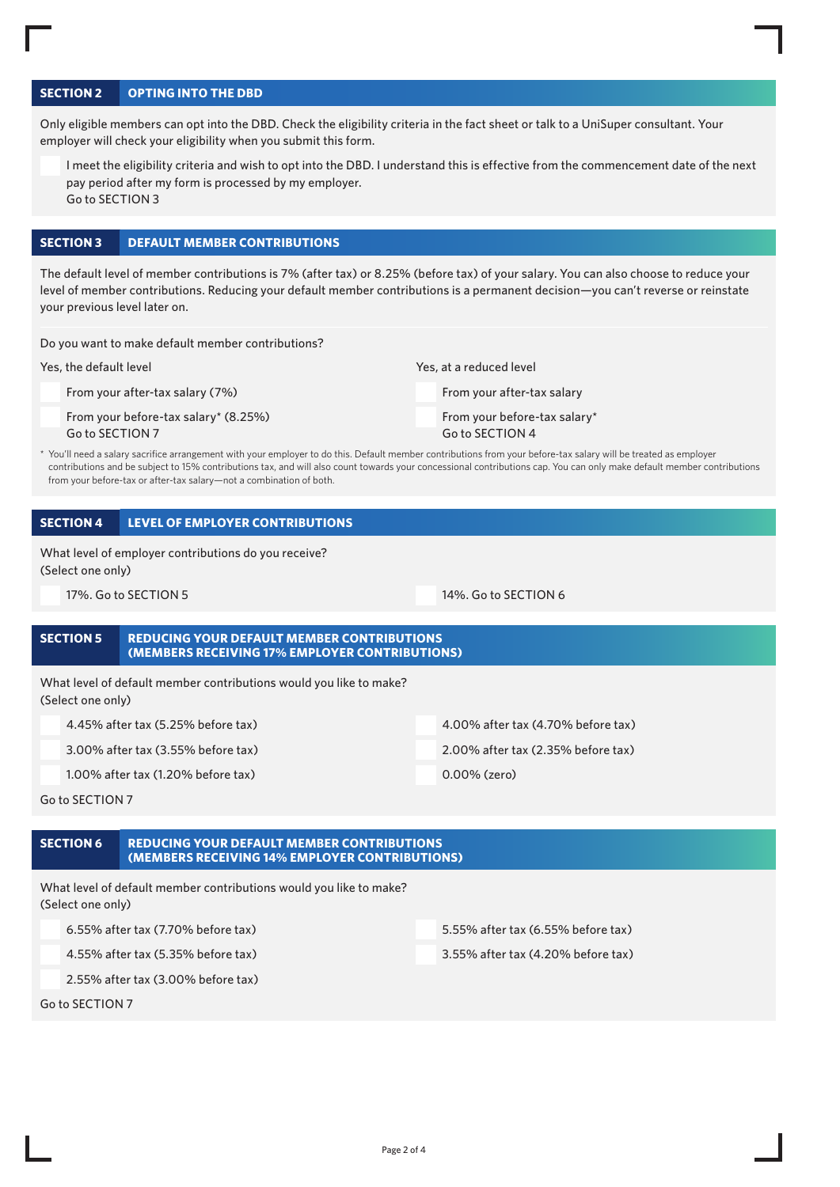#### **SECTION 2 OPTING INTO THE DBD**

Only eligible members can opt into the DBD. Check the eligibility criteria in the fact sheet or talk to a UniSuper consultant. Your employer will check your eligibility when you submit this form.

I meet the eligibility criteria and wish to opt into the DBD. I understand this is effective from the commencement date of the next pay period after my form is processed by my employer. Go to SECTION 3

#### **SECTION 3 DEFAULT MEMBER CONTRIBUTIONS**

The default level of member contributions is 7% (after tax) or 8.25% (before tax) of your salary. You can also choose to reduce your level of member contributions. Reducing your default member contributions is a permanent decision—you can't reverse or reinstate your previous level later on.

Do you want to make default member contributions?

Yes, the default level

From your after-tax salary (7%)

From your before-tax salary\* (8.25%) Go to SECTION 7

Yes, at a reduced level From your after-tax salary From your before-tax salary\* Go to SECTION 4

You'll need a salary sacrifice arrangement with your employer to do this. Default member contributions from your before-tax salary will be treated as employer contributions and be subject to 15% contributions tax, and will also count towards your concessional contributions cap. You can only make default member contributions from your before-tax or after-tax salary—not a combination of both.

#### **SECTION 4 LEVEL OF EMPLOYER CONTRIBUTIONS**

What level of employer contributions do you receive? (Select one only)

17%. Go to SECTION 5 14%. Go to SECTION 6

#### **SECTION 5 REDUCING YOUR DEFAULT MEMBER CONTRIBUTIONS (MEMBERS RECEIVING 17% EMPLOYER CONTRIBUTIONS)**

What level of default member contributions would you like to make? (Select one only)

| 4.45% after tax (5.25% before tax)    | 4.00% after tax (4.70% before tax) |
|---------------------------------------|------------------------------------|
| 3.00% after tax (3.55% before tax)    | 2.00% after tax (2.35% before tax) |
| $1.00\%$ after tax (1.20% before tax) | 0.00% (zero)                       |

Go to SECTION 7

#### **SECTION 6 REDUCING YOUR DEFAULT MEMBER CONTRIBUTIONS (MEMBERS RECEIVING 14% EMPLOYER CONTRIBUTIONS)**

What level of default member contributions would you like to make? (Select one only)

6.55% after tax (7.70% before tax) 5.55% after tax (6.55% before tax)

2.55% after tax (3.00% before tax)

Go to SECTION 7

4.55% after tax (5.35% before tax) 3.55% after tax (4.20% before tax)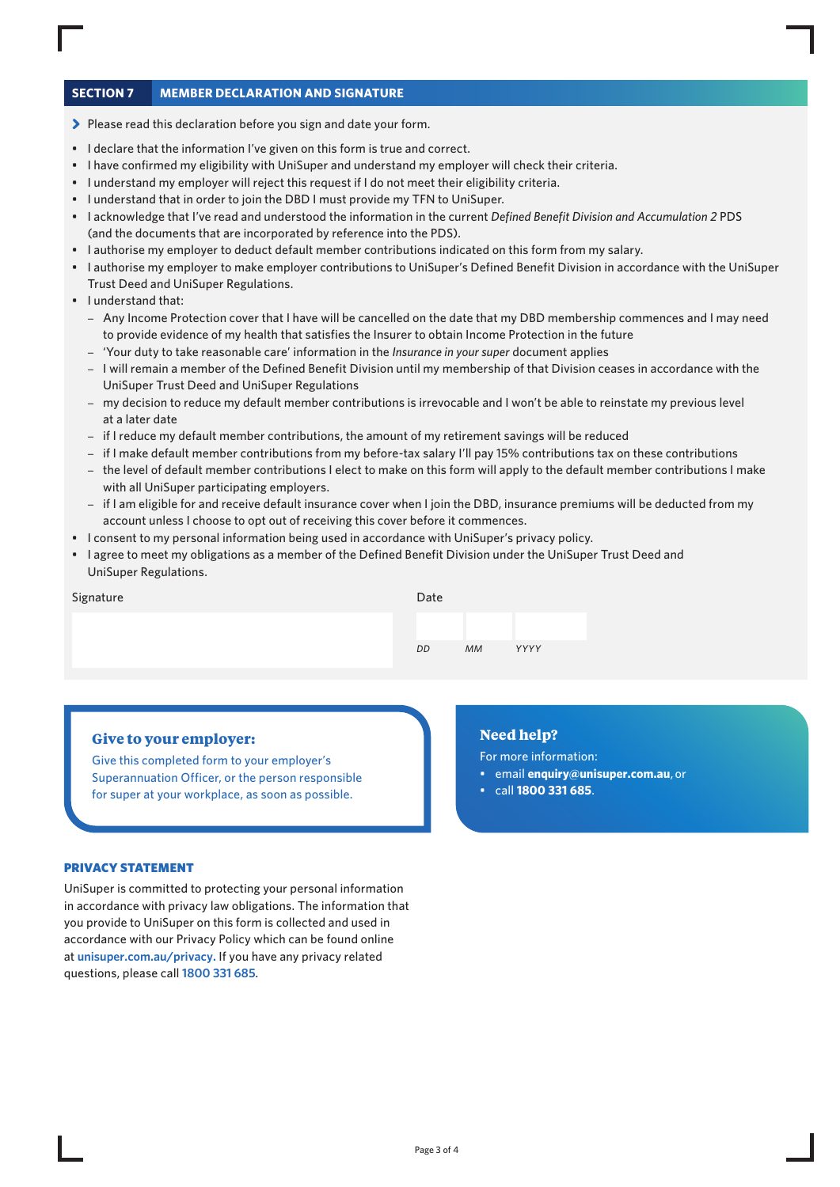#### **SECTION 7 MEMBER DECLARATION AND SIGNATURE**

- > Please read this declaration before you sign and date your form.
- I declare that the information I've given on this form is true and correct.
- I have confirmed my eligibility with UniSuper and understand my employer will check their criteria.
- I understand my employer will reject this request if I do not meet their eligibility criteria.
- I understand that in order to join the DBD I must provide my TFN to UniSuper.
- I acknowledge that I've read and understood the information in the current *Defined Benefit Division and Accumulation 2* PDS (and the documents that are incorporated by reference into the PDS).
- I authorise my employer to deduct default member contributions indicated on this form from my salary.
- I authorise my employer to make employer contributions to UniSuper's Defined Benefit Division in accordance with the UniSuper Trust Deed and UniSuper Regulations.
- I understand that:
	- Any Income Protection cover that I have will be cancelled on the date that my DBD membership commences and I may need to provide evidence of my health that satisfies the Insurer to obtain Income Protection in the future
	- 'Your duty to take reasonable care' information in the *Insurance in your super* document applies
	- I will remain a member of the Defined Benefit Division until my membership of that Division ceases in accordance with the UniSuper Trust Deed and UniSuper Regulations
	- my decision to reduce my default member contributions is irrevocable and I won't be able to reinstate my previous level at a later date
	- if I reduce my default member contributions, the amount of my retirement savings will be reduced
	- if I make default member contributions from my before-tax salary I'll pay 15% contributions tax on these contributions
	- the level of default member contributions I elect to make on this form will apply to the default member contributions I make with all UniSuper participating employers.
	- if I am eligible for and receive default insurance cover when I join the DBD, insurance premiums will be deducted from my account unless I choose to opt out of receiving this cover before it commences.
- I consent to my personal information being used in accordance with UniSuper's privacy policy.
- I agree to meet my obligations as a member of the Defined Benefit Division under the UniSuper Trust Deed and UniSuper Regulations.

| Date |           |      |
|------|-----------|------|
|      |           |      |
| DD   | <b>MM</b> | YYYY |

Signature

#### **Give to your employer:**

Give this completed form to your employer's Superannuation Officer, or the person responsible for super at your workplace, as soon as possible.

#### PRIVACY STATEMENT

UniSuper is committed to protecting your personal information in accordance with privacy law obligations. The information that you provide to UniSuper on this form is collected and used in accordance with our Privacy Policy which can be found online at **[unisuper.com.au/privacy.](http://unisuper.com.au/privacy)** If you have any privacy related questions, please call **1800 331 685**.

#### **Need help?**

For more information:

- email **enquiry@unisuper.com.au** , or
- call **1800 331 685**.